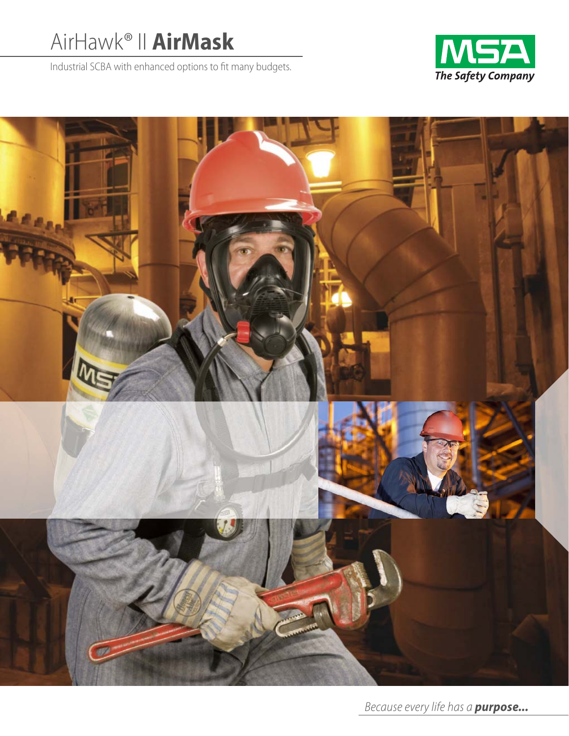# AirHawk® II **AirMask**

Industrial SCBA with enhanced options to fit many budgets.



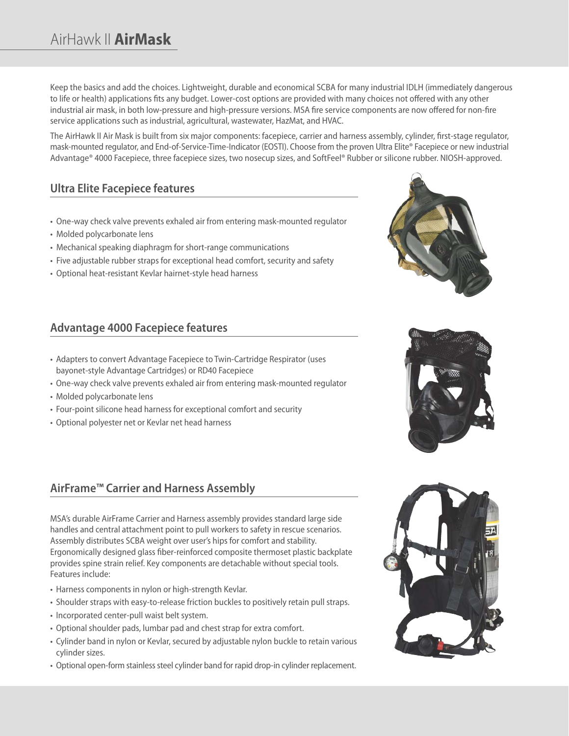# AirHawk II **AirMask**

Keep the basics and add the choices. Lightweight, durable and economical SCBA for many industrial IDLH (immediately dangerous to life or health) applications fits any budget. Lower-cost options are provided with many choices not offered with any other industrial air mask, in both low-pressure and high-pressure versions. MSA fire service components are now offered for non-fire service applications such as industrial, agricultural, wastewater, HazMat, and HVAC.

The AirHawk II Air Mask is built from six major components: facepiece, carrier and harness assembly, cylinder, first-stage regulator, mask-mounted regulator, and End-of-Service-Time-Indicator (EOSTI). Choose from the proven Ultra Elite® Facepiece or new industrial Advantage® 4000 Facepiece, three facepiece sizes, two nosecup sizes, and SoftFeel® Rubber or silicone rubber. NIOSH-approved.

# **Ultra Elite Facepiece features**

- One-way check valve prevents exhaled air from entering mask-mounted regulator
- Molded polycarbonate lens
- Mechanical speaking diaphragm for short-range communications
- Five adjustable rubber straps for exceptional head comfort, security and safety
- Optional heat-resistant Kevlar hairnet-style head harness

#### **Advantage 4000 Facepiece features**

- Adapters to convert Advantage Facepiece to Twin-Cartridge Respirator (uses bayonet-style Advantage Cartridges) or RD40 Facepiece
- One-way check valve prevents exhaled air from entering mask-mounted regulator
- Molded polycarbonate lens
- Four-point silicone head harness for exceptional comfort and security
- Optional polyester net or Kevlar net head harness

#### **AirFrame™ Carrier and Harness Assembly**

MSA's durable AirFrame Carrier and Harness assembly provides standard large side handles and central attachment point to pull workers to safety in rescue scenarios. Assembly distributes SCBA weight over user's hips for comfort and stability. Ergonomically designed glass fiber-reinforced composite thermoset plastic backplate provides spine strain relief. Key components are detachable without special tools. Features include:

- Harness components in nylon or high-strength Kevlar.
- Shoulder straps with easy-to-release friction buckles to positively retain pull straps.
- Incorporated center-pull waist belt system.
- Optional shoulder pads, lumbar pad and chest strap for extra comfort.
- Cylinder band in nylon or Kevlar, secured by adjustable nylon buckle to retain various cylinder sizes.
- Optional open-form stainless steel cylinder band for rapid drop-in cylinder replacement.





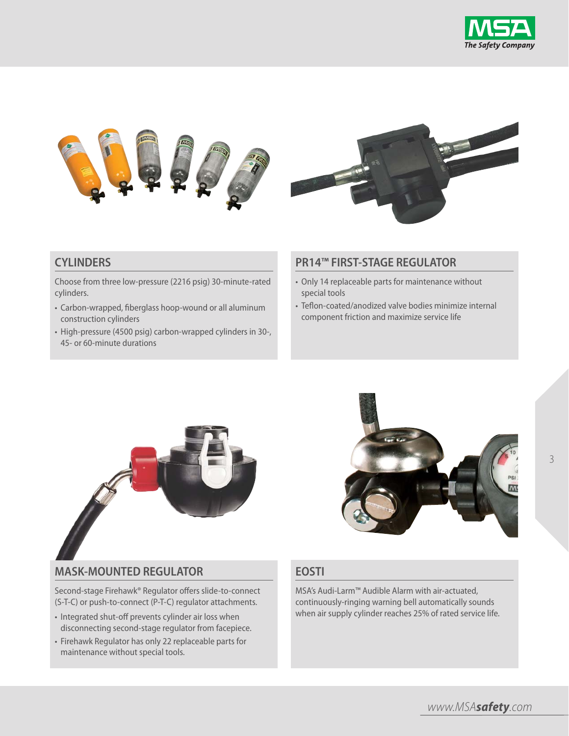





#### **CYLINDERS**

Choose from three low-pressure (2216 psig) 30-minute-rated cylinders.

- Carbon-wrapped, fiberglass hoop-wound or all aluminum construction cylinders
- High-pressure (4500 psig) carbon-wrapped cylinders in 30-, 45- or 60-minute durations

#### **PR14™ FIRST-STAGE REGULATOR**

- Only 14 replaceable parts for maintenance without special tools
- Teflon-coated/anodized valve bodies minimize internal component friction and maximize service life



#### **MASK-MOUNTED REGULATOR**

Second-stage Firehawk® Regulator offers slide-to-connect (S-T-C) or push-to-connect (P-T-C) regulator attachments.

- Integrated shut-off prevents cylinder air loss when disconnecting second-stage regulator from facepiece.
- Firehawk Regulator has only 22 replaceable parts for maintenance without special tools.



#### **EOSTI**

MSA's Audi-Larm™ Audible Alarm with air-actuated, continuously-ringing warning bell automatically sounds when air supply cylinder reaches 25% of rated service life.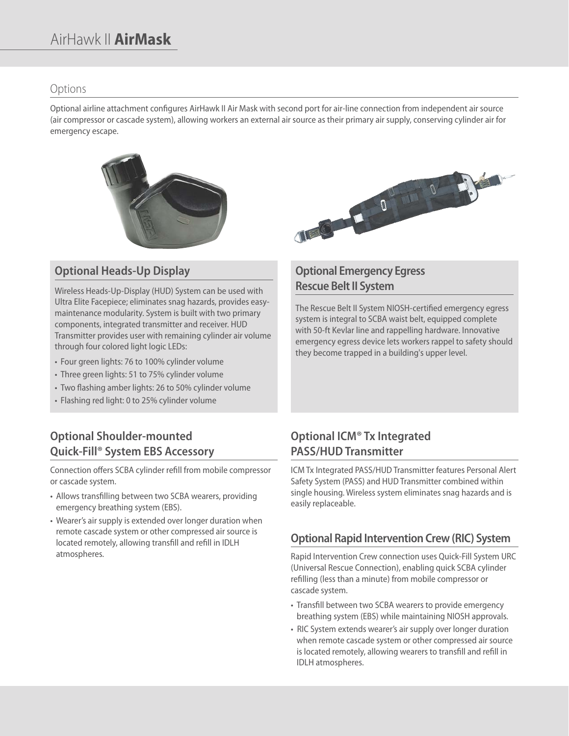#### Options

Optional airline attachment configures AirHawk II Air Mask with second port for air-line connection from independent air source (air compressor or cascade system), allowing workers an external air source as their primary air supply, conserving cylinder air for emergency escape.



## **Optional Heads-Up Display**

Wireless Heads-Up-Display (HUD) System can be used with Ultra Elite Facepiece; eliminates snag hazards, provides easymaintenance modularity. System is built with two primary components, integrated transmitter and receiver. HUD Transmitter provides user with remaining cylinder air volume through four colored light logic LEDs:

- Four green lights: 76 to 100% cylinder volume
- Three green lights: 51 to 75% cylinder volume
- Two flashing amber lights: 26 to 50% cylinder volume
- Flashing red light: 0 to 25% cylinder volume

# **Optional Shoulder-mounted Quick-Fill® System EBS Accessory**

Connection offers SCBA cylinder refill from mobile compressor or cascade system.

- Allows transfilling between two SCBA wearers, providing emergency breathing system (EBS).
- Wearer's air supply is extended over longer duration when remote cascade system or other compressed air source is located remotely, allowing transfill and refill in IDLH atmospheres.



### **Optional Emergency Egress Rescue Belt II System**

The Rescue Belt II System NIOSH-certified emergency egress system is integral to SCBA waist belt, equipped complete with 50-ft Kevlar line and rappelling hardware. Innovative emergency egress device lets workers rappel to safety should they become trapped in a building's upper level.

## **Optional ICM® Tx Integrated PASS/HUD Transmitter**

ICM Tx Integrated PASS/HUD Transmitter features Personal Alert Safety System (PASS) and HUD Transmitter combined within single housing. Wireless system eliminates snag hazards and is easily replaceable.

### **Optional Rapid Intervention Crew (RIC) System**

Rapid Intervention Crew connection uses Quick-Fill System URC (Universal Rescue Connection), enabling quick SCBA cylinder refilling (less than a minute) from mobile compressor or cascade system.

- Transfill between two SCBA wearers to provide emergency breathing system (EBS) while maintaining NIOSH approvals.
- RIC System extends wearer's air supply over longer duration when remote cascade system or other compressed air source is located remotely, allowing wearers to transfill and refill in IDLH atmospheres.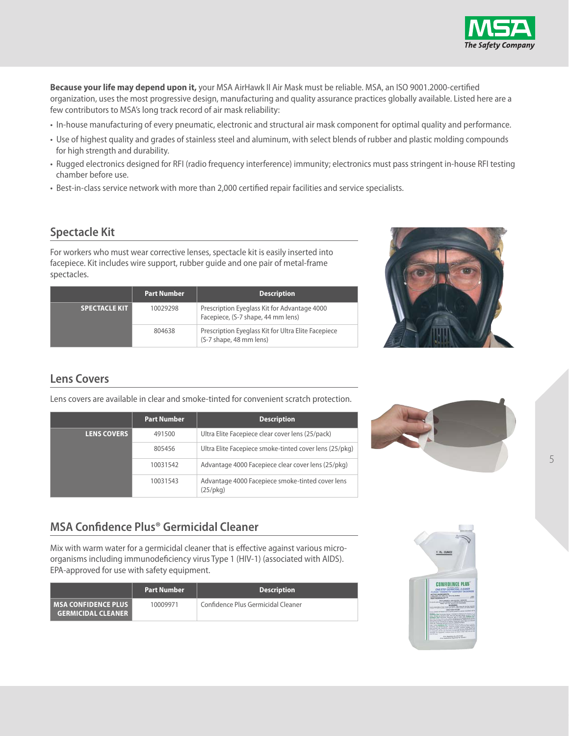

**Because your life may depend upon it,** your MSA AirHawk II Air Mask must be reliable. MSA, an ISO 9001.2000-certified organization, uses the most progressive design, manufacturing and quality assurance practices globally available. Listed here are a few contributors to MSA's long track record of air mask reliability:

- In-house manufacturing of every pneumatic, electronic and structural air mask component for optimal quality and performance.
- Use of highest quality and grades of stainless steel and aluminum, with select blends of rubber and plastic molding compounds for high strength and durability.
- Rugged electronics designed for RFI (radio frequency interference) immunity; electronics must pass stringent in-house RFI testing chamber before use.
- Best-in-class service network with more than 2,000 certified repair facilities and service specialists.

### **Spectacle Kit**

For workers who must wear corrective lenses, spectacle kit is easily inserted into facepiece. Kit includes wire support, rubber guide and one pair of metal-frame spectacles.

|                      | <b>Part Number</b> | <b>Description</b>                                                                 |
|----------------------|--------------------|------------------------------------------------------------------------------------|
| <b>SPECTACLE KIT</b> | 10029298           | Prescription Eyeglass Kit for Advantage 4000<br>Facepiece, (S-7 shape, 44 mm lens) |
|                      | 804638             | Prescription Eyeglass Kit for Ultra Elite Facepiece<br>(S-7 shape, 48 mm lens)     |



### **Lens Covers**

Lens covers are available in clear and smoke-tinted for convenient scratch protection.

|                    | <b>Part Number</b> | <b>Description</b>                                                    |
|--------------------|--------------------|-----------------------------------------------------------------------|
| <b>LENS COVERS</b> | 491500             | Ultra Elite Facepiece clear cover lens (25/pack)                      |
|                    | 805456             | Ultra Elite Facepiece smoke-tinted cover lens (25/pkg)                |
|                    | 10031542           | Advantage 4000 Facepiece clear cover lens (25/pkg)                    |
|                    | 10031543           | Advantage 4000 Facepiece smoke-tinted cover lens<br>$(25/\text{pkq})$ |



### **MSA Confidence Plus® Germicidal Cleaner**

Mix with warm water for a germicidal cleaner that is effective against various microorganisms including immunodeficiency virus Type 1 (HIV-1) (associated with AIDS). EPA-approved for use with safety equipment.

|                                                        | <b>Part Number</b> | <b>Description</b>                 |
|--------------------------------------------------------|--------------------|------------------------------------|
| l MSA CONFIDENCE PLUS  <br><b>GERMICIDAL CLEANER  </b> | 10009971           | Confidence Plus Germicidal Cleaner |

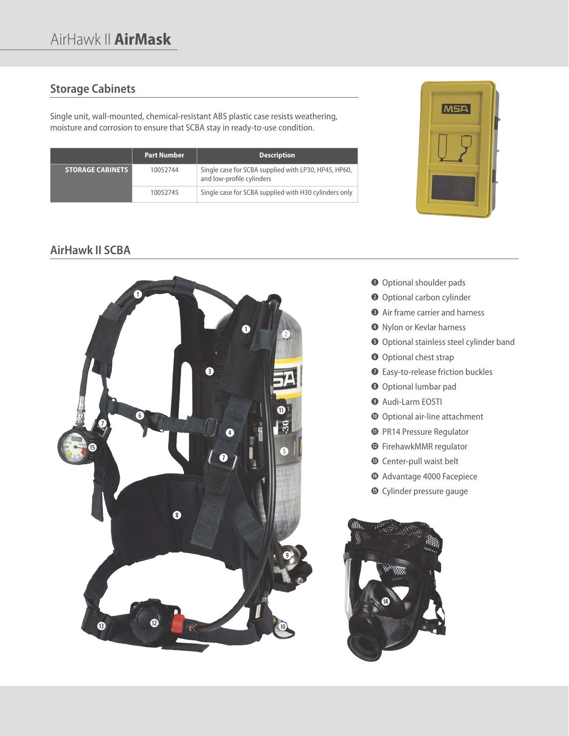### **Storage Cabinets**

Single unit, wall-mounted, chemical-resistant ABS plastic case resists weathering, moisture and corrosion to ensure that SCBA stay in ready-to-use condition.

|                         | <b>Part Number</b> | <b>Description</b>                                                                |
|-------------------------|--------------------|-----------------------------------------------------------------------------------|
| <b>STORAGE CABINETS</b> | 10052744           | Single case for SCBA supplied with LP30, HP45, HP60,<br>and low-profile cylinders |
|                         | 10052745           | Single case for SCBA supplied with H30 cylinders only                             |



### **AirHawk II SCBA**



- $\bullet$  Optional shoulder pads
- **<sup>** $\bullet$ **</sup>** Optional carbon cylinder
- **e** Air frame carrier and harness
- **<sup>o</sup>** Nylon or Kevlar harness
- $\bullet$  Optional stainless steel cylinder band
- **<sup>O</sup>** Optional chest strap
- **1** Easy-to-release friction buckles
- **<sup>0</sup>** Optional lumbar pad
- **o** Audi-Larm EOSTI
- **a** Optional air-line attachment
- **<sup>O</sup>** PR14 Pressure Regulator
- **d** FirehawkMMR regulator
- **<sup>6</sup>** Center-pull waist belt
- **g** Advantage 4000 Facepiece
- $\bullet$  Cylinder pressure gauge

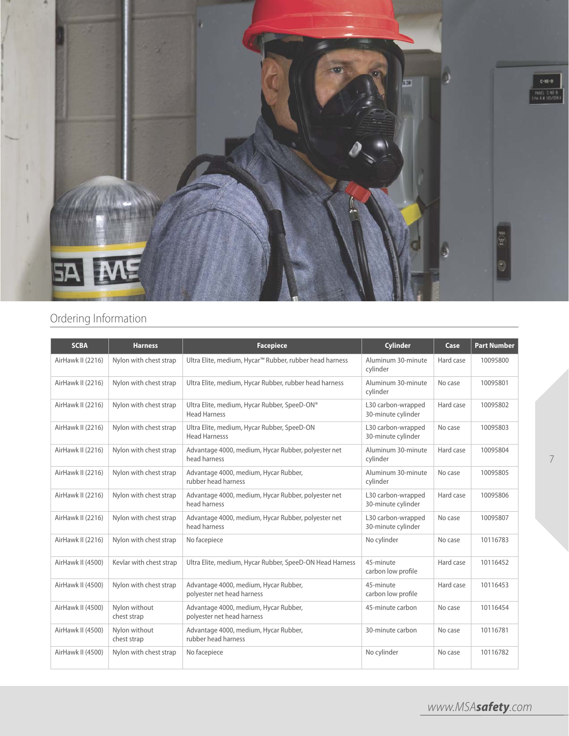

# Ordering Information

| <b>SCBA</b>       | <b>Harness</b>               | <b>Facepiece</b>                                                    | <b>Cylinder</b>                          | Case      | <b>Part Number</b> |
|-------------------|------------------------------|---------------------------------------------------------------------|------------------------------------------|-----------|--------------------|
| AirHawk II (2216) | Nylon with chest strap       | Ultra Elite, medium, Hycar™ Rubber, rubber head harness             | Aluminum 30-minute<br>cylinder           | Hard case | 10095800           |
| AirHawk II (2216) | Nylon with chest strap       | Ultra Elite, medium, Hycar Rubber, rubber head harness              | Aluminum 30-minute<br>cylinder           | No case   | 10095801           |
| AirHawk II (2216) | Nylon with chest strap       | Ultra Elite, medium, Hycar Rubber, SpeeD-ON®<br><b>Head Harness</b> | L30 carbon-wrapped<br>30-minute cylinder | Hard case | 10095802           |
| AirHawk II (2216) | Nylon with chest strap       | Ultra Elite, medium, Hycar Rubber, SpeeD-ON<br><b>Head Harnesss</b> | L30 carbon-wrapped<br>30-minute cylinder | No case   | 10095803           |
| AirHawk II (2216) | Nylon with chest strap       | Advantage 4000, medium, Hycar Rubber, polyester net<br>head harness | Aluminum 30-minute<br>cylinder           | Hard case | 10095804           |
| AirHawk II (2216) | Nylon with chest strap       | Advantage 4000, medium, Hycar Rubber,<br>rubber head harness        | Aluminum 30-minute<br>cylinder           | No case   | 10095805           |
| AirHawk II (2216) | Nylon with chest strap       | Advantage 4000, medium, Hycar Rubber, polyester net<br>head harness | L30 carbon-wrapped<br>30-minute cylinder | Hard case | 10095806           |
| AirHawk II (2216) | Nylon with chest strap       | Advantage 4000, medium, Hycar Rubber, polyester net<br>head harness | L30 carbon-wrapped<br>30-minute cylinder | No case   | 10095807           |
| AirHawk II (2216) | Nylon with chest strap       | No facepiece                                                        | No cylinder                              | No case   | 10116783           |
| AirHawk II (4500) | Kevlar with chest strap      | Ultra Elite, medium, Hycar Rubber, SpeeD-ON Head Harness            | 45-minute<br>carbon low profile          | Hard case | 10116452           |
| AirHawk II (4500) | Nylon with chest strap       | Advantage 4000, medium, Hycar Rubber,<br>polyester net head harness | 45-minute<br>carbon low profile          | Hard case | 10116453           |
| AirHawk II (4500) | Nylon without<br>chest strap | Advantage 4000, medium, Hycar Rubber,<br>polyester net head harness | 45-minute carbon                         | No case   | 10116454           |
| AirHawk II (4500) | Nylon without<br>chest strap | Advantage 4000, medium, Hycar Rubber,<br>rubber head harness        | 30-minute carbon                         | No case   | 10116781           |
| AirHawk II (4500) | Nylon with chest strap       | No facepiece                                                        | No cylinder                              | No case   | 10116782           |

7